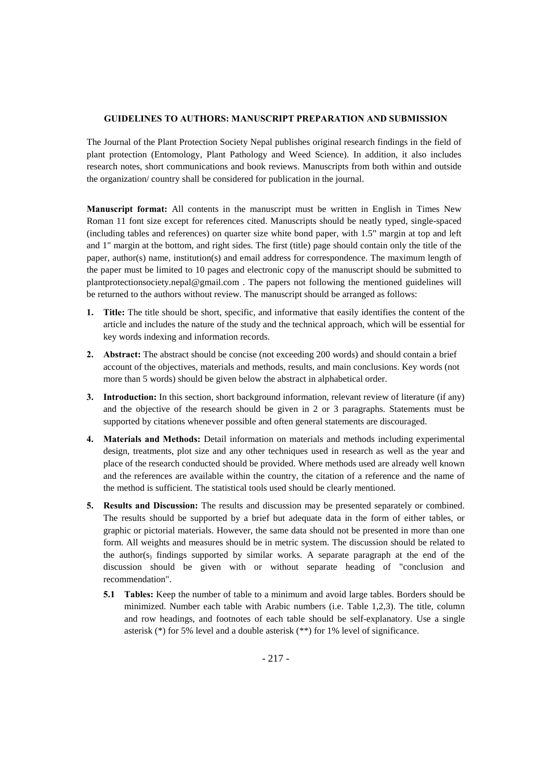### **GUIDELINES TO AUTHORS: MANUSCRIPT PREPARATION AND SUBMISSION**

The Journal of the Plant Protection Society Nepal publishes original research findings in the field of plant protection (Entomology, Plant Pathology and Weed Science). In addition, it also includes research notes, short communications and book reviews. Manuscripts from both within and outside the organization/ country shall be considered for publication in the journal.

**Manuscript format:** All contents in the manuscript must be written in English in Times New Roman 11 font size except for references cited. Manuscripts should be neatly typed, single-spaced (including tables and references) on quarter size white bond paper, with 1.5" margin at top and left and 1" margin at the bottom, and right sides. The first (title) page should contain only the title of the paper, author(s) name, institution(s) and email address for correspondence. The maximum length of the paper must be limited to 10 pages and electronic copy of the manuscript should be submitted to plantprotectionsociety.nepal@gmail.com . The papers not following the mentioned guidelines will be returned to the authors without review. The manuscript should be arranged as follows:

- **1. Title:** The title should be short, specific, and informative that easily identifies the content of the article and includes the nature of the study and the technical approach, which will be essential for key words indexing and information records.
- **2. Abstract:** The abstract should be concise (not exceeding 200 words) and should contain a brief account of the objectives, materials and methods, results, and main conclusions. Key words (not more than 5 words) should be given below the abstract in alphabetical order.
- **3. Introduction:** In this section, short background information, relevant review of literature (if any) and the objective of the research should be given in 2 or 3 paragraphs. Statements must be supported by citations whenever possible and often general statements are discouraged.
- **4. Materials and Methods:** Detail information on materials and methods including experimental design, treatments, plot size and any other techniques used in research as well as the year and place of the research conducted should be provided. Where methods used are already well known and the references are available within the country, the citation of a reference and the name of the method is sufficient. The statistical tools used should be clearly mentioned.
- **5. Results and Discussion:** The results and discussion may be presented separately or combined. The results should be supported by a brief but adequate data in the form of either tables, or graphic or pictorial materials. However, the same data should not be presented in more than one form. All weights and measures should be in metric system. The discussion should be related to the author(s) findings supported by similar works. A separate paragraph at the end of the discussion should be given with or without separate heading of "conclusion and recommendation".
	- **5.1 Tables:** Keep the number of table to a minimum and avoid large tables. Borders should be minimized. Number each table with Arabic numbers (i.e. Table 1,2,3). The title, column and row headings, and footnotes of each table should be self-explanatory. Use a single asterisk (\*) for 5% level and a double asterisk (\*\*) for 1% level of significance.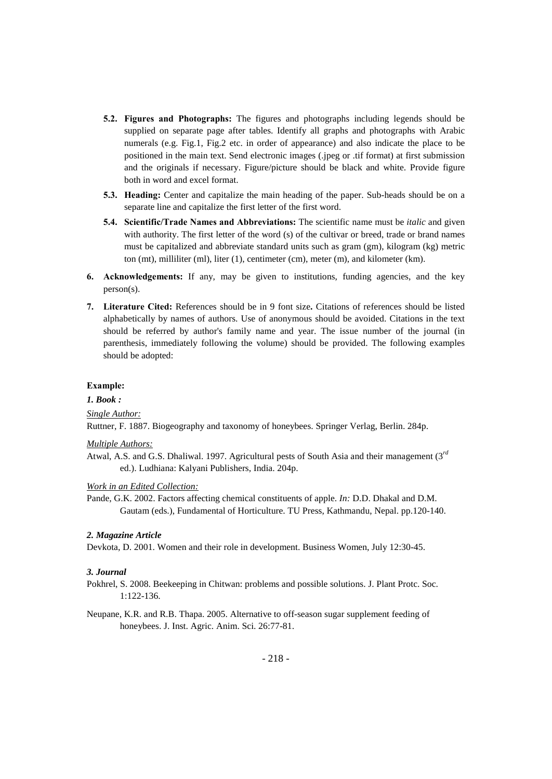- **5.2. Figures and Photographs:** The figures and photographs including legends should be supplied on separate page after tables. Identify all graphs and photographs with Arabic numerals (e.g. Fig.1, Fig.2 etc. in order of appearance) and also indicate the place to be positioned in the main text. Send electronic images (.jpeg or .tif format) at first submission and the originals if necessary. Figure/picture should be black and white. Provide figure both in word and excel format.
- **5.3. Heading:** Center and capitalize the main heading of the paper. Sub-heads should be on a separate line and capitalize the first letter of the first word.
- **5.4. Scientific/Trade Names and Abbreviations:** The scientific name must be *italic* and given with authority. The first letter of the word (s) of the cultivar or breed, trade or brand names must be capitalized and abbreviate standard units such as gram (gm), kilogram (kg) metric ton (mt), milliliter (ml), liter (1), centimeter (cm), meter (m), and kilometer (km).
- **6.** Acknowledgements: If any, may be given to institutions, funding agencies, and the key person(s).
- **7. Literature Cited:** References should be in 9 font size**.** Citations of references should be listed alphabetically by names of authors. Use of anonymous should be avoided. Citations in the text should be referred by author's family name and year. The issue number of the journal (in parenthesis, immediately following the volume) should be provided. The following examples should be adopted:

### **Example:**

## *1. Book :*

# *Single Author:*

Ruttner, F. 1887. Biogeography and taxonomy of honeybees. Springer Verlag, Berlin. 284p.

#### *Multiple Authors:*

Atwal, A.S. and G.S. Dhaliwal. 1997. Agricultural pests of South Asia and their management (3*rd* ed.). Ludhiana: Kalyani Publishers, India. 204p.

#### *Work in an Edited Collection:*

Pande, G.K. 2002. Factors affecting chemical constituents of apple. *In:* D.D. Dhakal and D.M. Gautam (eds.), Fundamental of Horticulture. TU Press, Kathmandu, Nepal. pp.120-140.

#### *2. Magazine Article*

Devkota, D. 2001. Women and their role in development. Business Women, July 12:30-45.

### *3. Journal*

- Pokhrel, S. 2008. Beekeeping in Chitwan: problems and possible solutions. J. Plant Protc. Soc. 1:122-136.
- Neupane, K.R. and R.B. Thapa. 2005. Alternative to off-season sugar supplement feeding of honeybees. J. Inst. Agric. Anim. Sci. 26:77-81.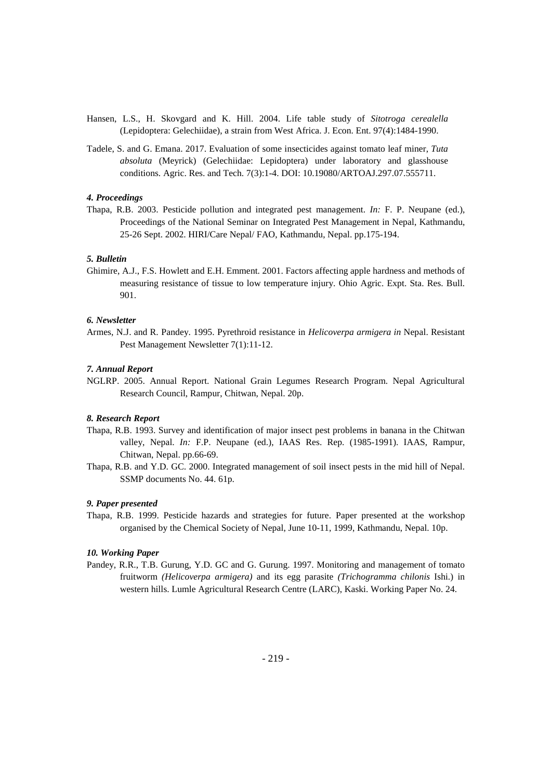- Hansen, L.S., H. Skovgard and K. Hill. 2004. Life table study of *Sitotroga cerealella*  (Lepidoptera: Gelechiidae), a strain from West Africa. J. Econ. Ent. 97(4):1484-1990.
- Tadele, S. and G. Emana. 2017. Evaluation of some insecticides against tomato leaf miner, *Tuta absoluta* (Meyrick) (Gelechiidae: Lepidoptera) under laboratory and glasshouse conditions. Agric. Res. and Tech. 7(3):1-4. DOI: 10.19080/ARTOAJ.297.07.555711.

# *4. Proceedings*

Thapa, R.B. 2003. Pesticide pollution and integrated pest management. *In:* F. P. Neupane (ed.), Proceedings of the National Seminar on Integrated Pest Management in Nepal, Kathmandu, 25-26 Sept. 2002. HIRI/Care Nepal/ FAO, Kathmandu, Nepal. pp.175-194.

# *5. Bulletin*

Ghimire, A.J., F.S. Howlett and E.H. Emment. 2001. Factors affecting apple hardness and methods of measuring resistance of tissue to low temperature injury. Ohio Agric. Expt. Sta. Res. Bull. 901.

### *6. Newsletter*

Armes, N.J. and R. Pandey. 1995. Pyrethroid resistance in *Helicoverpa armigera in* Nepal. Resistant Pest Management Newsletter 7(1):11-12.

# *7. Annual Report*

NGLRP. 2005. Annual Report. National Grain Legumes Research Program. Nepal Agricultural Research Council, Rampur, Chitwan, Nepal. 20p.

#### *8. Research Report*

- Thapa, R.B. 1993. Survey and identification of major insect pest problems in banana in the Chitwan valley, Nepal. *In:* F.P. Neupane (ed.), IAAS Res. Rep. (1985-1991). IAAS, Rampur, Chitwan, Nepal. pp.66-69.
- Thapa, R.B. and Y.D. GC. 2000. Integrated management of soil insect pests in the mid hill of Nepal. SSMP documents No. 44. 61p.

# *9. Paper presented*

Thapa, R.B. 1999. Pesticide hazards and strategies for future. Paper presented at the workshop organised by the Chemical Society of Nepal, June 10-11, 1999, Kathmandu, Nepal. 10p.

#### *10. Working Paper*

Pandey, R.R., T.B. Gurung, Y.D. GC and G. Gurung. 1997. Monitoring and management of tomato fruitworm *(Helicoverpa armigera)* and its egg parasite *(Trichogramma chilonis* Ishi.) in western hills. Lumle Agricultural Research Centre (LARC), Kaski. Working Paper No. 24.